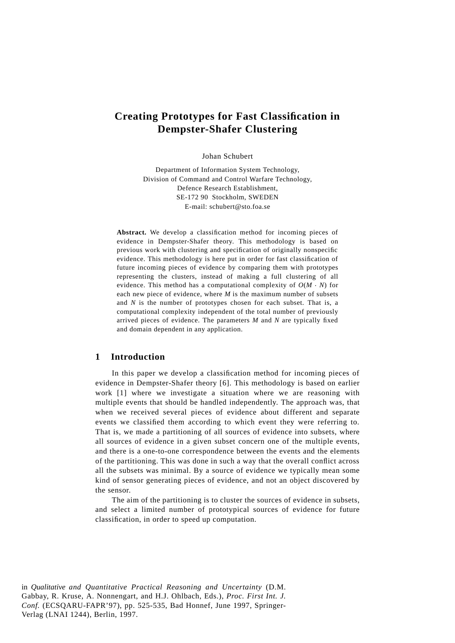# **Creating Prototypes for Fast Classification in Dempster-Shafer Clustering**

Johan Schubert

Department of Information System Technology, Division of Command and Control Warfare Technology, Defence Research Establishment, SE-172 90 Stockholm, SWEDEN E-mail: schubert@sto.foa.se

Abstract. We develop a classification method for incoming pieces of evidence in Dempster-Shafer theory. This methodology is based on previous work with clustering and specification of originally nonspecific evidence. This methodology is here put in order for fast classification of future incoming pieces of evidence by comparing them with prototypes representing the clusters, instead of making a full clustering of all evidence. This method has a computational complexity of  $O(M \cdot N)$  for each new piece of evidence, where *M* is the maximum number of subsets and *N* is the number of prototypes chosen for each subset. That is, a computational complexity independent of the total number of previously arrived pieces of evidence. The parameters *M* and *N* are typically fixed and domain dependent in any application.

# **1 Introduction**

In this paper we develop a classification method for incoming pieces of evidence in Dempster-Shafer theory [6]. This methodology is based on earlier work [1] where we investigate a situation where we are reasoning with multiple events that should be handled independently. The approach was, that when we received several pieces of evidence about different and separate events we classified them according to which event they were referring to. That is, we made a partitioning of all sources of evidence into subsets, where all sources of evidence in a given subset concern one of the multiple events, and there is a one-to-one correspondence between the events and the elements of the partitioning. This was done in such a way that the overall conflict across all the subsets was minimal. By a source of evidence we typically mean some kind of sensor generating pieces of evidence, and not an object discovered by the sensor.

The aim of the partitioning is to cluster the sources of evidence in subsets, and select a limited number of prototypical sources of evidence for future classification, in order to speed up computation.

in *Qualitative and Quantitative Practical Reasoning and Uncertainty* (D.M. Gabbay, R. Kruse, A. Nonnengart, and H.J. Ohlbach, Eds.), *Proc. First Int. J. Conf.* (ECSQARU-FAPR'97), pp. 525-535, Bad Honnef, June 1997, Springer-Verlag (LNAI 1244), Berlin, 1997.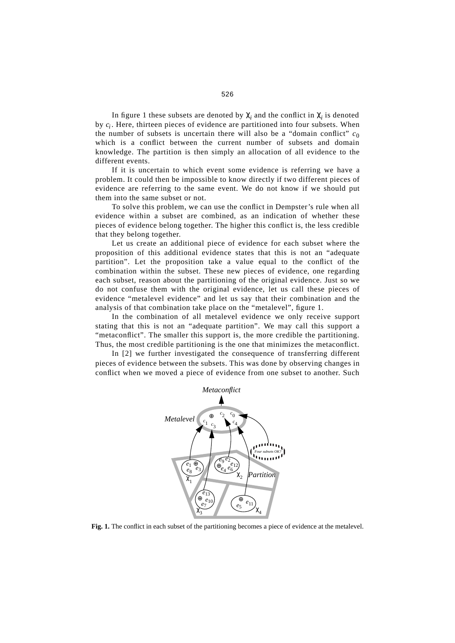In figure 1 these subsets are denoted by  $\chi_i$  and the conflict in  $\chi_i$  is denoted by *ci* . Here, thirteen pieces of evidence are partitioned into four subsets. When the number of subsets is uncertain there will also be a "domain conflict"  $c_0$ which is a conflict between the current number of subsets and domain knowledge. The partition is then simply an allocation of all evidence to the different events.

If it is uncertain to which event some evidence is referring we have a problem. It could then be impossible to know directly if two different pieces of evidence are referring to the same event. We do not know if we should put them into the same subset or not.

To solve this problem, we can use the conflict in Dempster's rule when all evidence within a subset are combined, as an indication of whether these pieces of evidence belong together. The higher this conflict is, the less credible that they belong together.

Let us create an additional piece of evidence for each subset where the proposition of this additional evidence states that this is not an "adequate partition". Let the proposition take a value equal to the conflict of the combination within the subset. These new pieces of evidence, one regarding each subset, reason about the partitioning of the original evidence. Just so we do not confuse them with the original evidence, let us call these pieces of evidence "metalevel evidence" and let us say that their combination and the analysis of that combination take place on the "metalevel", figure 1.

In the combination of all metalevel evidence we only receive support stating that this is not an "adequate partition". We may call this support a "metaconflict". The smaller this support is, the more credible the partitioning. Thus, the most credible partitioning is the one that minimizes the metaconflict.

In [2] we further investigated the consequence of transferring different pieces of evidence between the subsets. This was done by observing changes in conflict when we moved a piece of evidence from one subset to another. Such



**Fig. 1.** The conflict in each subset of the partitioning becomes a piece of evidence at the metalevel.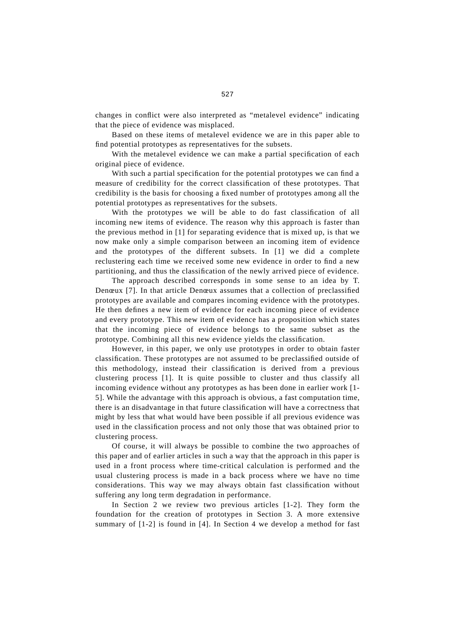changes in conflict were also interpreted as "metalevel evidence" indicating that the piece of evidence was misplaced.

Based on these items of metalevel evidence we are in this paper able to find potential prototypes as representatives for the subsets.

With the metalevel evidence we can make a partial specification of each original piece of evidence.

With such a partial specification for the potential prototypes we can find a measure of credibility for the correct classification of these prototypes. That credibility is the basis for choosing a fixed number of prototypes among all the potential prototypes as representatives for the subsets.

With the prototypes we will be able to do fast classification of all incoming new items of evidence. The reason why this approach is faster than the previous method in [1] for separating evidence that is mixed up, is that we now make only a simple comparison between an incoming item of evidence and the prototypes of the different subsets. In [1] we did a complete reclustering each time we received some new evidence in order to find a new partitioning, and thus the classification of the newly arrived piece of evidence.

The approach described corresponds in some sense to an idea by T. Denœux [7]. In that article Denœux assumes that a collection of preclassified prototypes are available and compares incoming evidence with the prototypes. He then defines a new item of evidence for each incoming piece of evidence and every prototype. This new item of evidence has a proposition which states that the incoming piece of evidence belongs to the same subset as the prototype. Combining all this new evidence yields the classification.

However, in this paper, we only use prototypes in order to obtain faster classification. These prototypes are not assumed to be preclassified outside of this methodology, instead their classification is derived from a previous clustering process [1]. It is quite possible to cluster and thus classify all incoming evidence without any prototypes as has been done in earlier work [1- 5]. While the advantage with this approach is obvious, a fast computation time, there is an disadvantage in that future classification will have a correctness that might by less that what would have been possible if all previous evidence was used in the classification process and not only those that was obtained prior to clustering process.

Of course, it will always be possible to combine the two approaches of this paper and of earlier articles in such a way that the approach in this paper is used in a front process where time-critical calculation is performed and the usual clustering process is made in a back process where we have no time considerations. This way we may always obtain fast classification without suffering any long term degradation in performance.

In Section 2 we review two previous articles [1-2]. They form the foundation for the creation of prototypes in Section 3. A more extensive summary of [1-2] is found in [4]. In Section 4 we develop a method for fast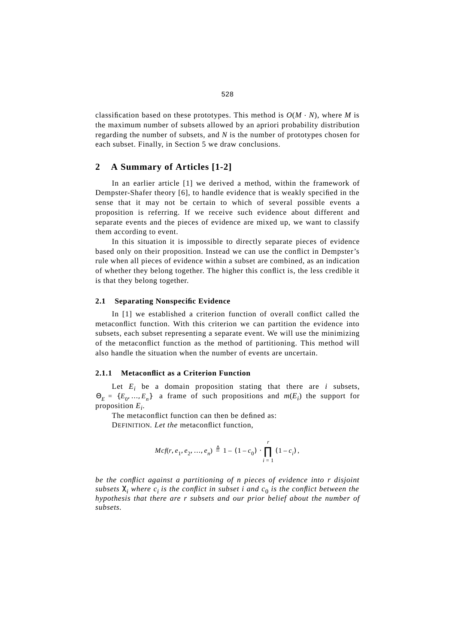classification based on these prototypes. This method is  $O(M \cdot N)$ , where M is the maximum number of subsets allowed by an apriori probability distribution regarding the number of subsets, and *N* is the number of prototypes chosen for each subset. Finally, in Section 5 we draw conclusions.

## **2 A Summary of Articles [1-2]**

In an earlier article [1] we derived a method, within the framework of Dempster-Shafer theory [6], to handle evidence that is weakly specified in the sense that it may not be certain to which of several possible events a proposition is referring. If we receive such evidence about different and separate events and the pieces of evidence are mixed up, we want to classify them according to event.

In this situation it is impossible to directly separate pieces of evidence based only on their proposition. Instead we can use the conflict in Dempster's rule when all pieces of evidence within a subset are combined, as an indication of whether they belong together. The higher this conflict is, the less credible it is that they belong together.

#### **2.1 Separating Nonspecific Evidence**

In [1] we established a criterion function of overall conflict called the metaconflict function. With this criterion we can partition the evidence into subsets, each subset representing a separate event. We will use the minimizing of the metaconflict function as the method of partitioning. This method will also handle the situation when the number of events are uncertain.

### **2.1.1 Metaconflict as a Criterion Function**

Let  $E_i$  be a domain proposition stating that there are  $i$  subsets,  $\Theta_E = \{E_0, ..., E_n\}$  a frame of such propositions and  $m(E_i)$  the support for proposition *Ei*.

The metaconflict function can then be defined as:

DEFINITION*. Let the* metaconflict function,

$$
Mcf(r, e_1, e_2, ..., e_n) \stackrel{\Delta}{=} 1 - (1 - c_0) \cdot \prod_{i=1}^r (1 - c_i),
$$

*be the conflict against a partitioning of n pieces of evidence into r disjoint subsets*  $\chi$ <sub>*i</sub>* where  $c_i$  *is the conflict in subset i and*  $c_0$  *is the conflict between the*</sub> *hypothesis that there are r subsets and our prior belief about the number of subsets.*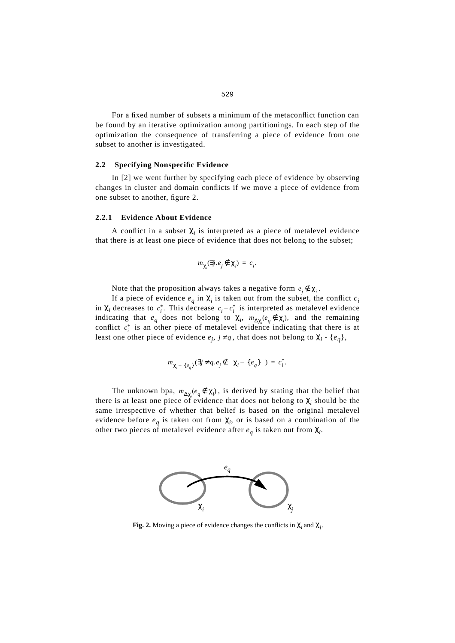For a fixed number of subsets a minimum of the metaconflict function can be found by an iterative optimization among partitionings. In each step of the optimization the consequence of transferring a piece of evidence from one subset to another is investigated.

#### **2.2 Specifying Nonspecific Evidence**

In [2] we went further by specifying each piece of evidence by observing changes in cluster and domain conflicts if we move a piece of evidence from one subset to another, figure 2.

#### **2.2.1 Evidence About Evidence**

A conflict in a subset  $\chi$ <sub>i</sub> is interpreted as a piece of metalevel evidence that there is at least one piece of evidence that does not belong to the subset;

$$
m_{\chi_i}(\exists j.e_j\notin\chi_i)\,=\,c_i.
$$

Note that the proposition always takes a negative form  $e_j \notin \chi_i$ .

If a piece of evidence  $e_q$  in  $\chi_i$  is taken out from the subset, the conflict  $c_i$ in  $\chi_i$  decreases to  $c_i^*$ . This decrease  $c_i - c_i^*$  is interpreted as metalevel evidence indicating that  $e_q$  does not belong to  $\chi_i$ ,  $m_{\Delta \chi_i}(e_q \notin \chi_i)$ , and the remaining conflict  $c_i^*$  is an other piece of metalevel evidence indicating that there is at least one other piece of evidence  $e_j$ ,  $j \neq q$ , that does not belong to  $\chi_i$  -  $\{e_q\}$ ,

$$
m_{\chi_i - \{e_q\}}(\exists j \neq q.e_j \notin \left(\chi_i - \{e_q\}\right)) = c_i^*.
$$

The unknown bpa,  $m_{\Delta \chi_i}(e_q \notin \chi_i)$ , is derived by stating that the belief that there is at least one piece of evidence that does not belong to  $\chi_i$  should be the same irrespective of whether that belief is based on the original metalevel evidence before  $e_q$  is taken out from  $\chi_i$ , or is based on a combination of the other two pieces of metalevel evidence after  $e_a$  is taken out from  $\chi_i$ .



**Fig. 2.** Moving a piece of evidence changes the conflicts in  $\chi_i$  and  $\chi_j$ .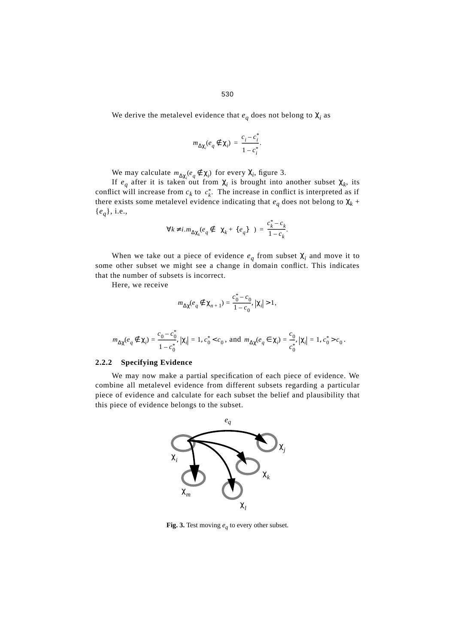We derive the metalevel evidence that  $e_q$  does not belong to  $\chi_i$  as

$$
m_{\Delta \chi_i}(e_q \notin \chi_i) = \frac{c_i - c_i^*}{1 - c_i^*}.
$$

We may calculate  $m_{\Delta \chi_i}(e_q \notin \chi_i)$  for every  $\chi_i$ , figure 3.

If  $e_q$  after it is taken out from  $\chi_i$  is brought into another subset  $\chi_k$ , its conflict will increase from  $c_k$  to  $c_k^*$ . The increase in conflict is interpreted as if there exists some metalevel evidence indicating that  $e_q$  does not belong to  $\chi_k$  + {*eq*}, i.e.,

$$
\forall k \neq i. m_{\Delta \chi_k}(e_q \notin \left(\chi_k + \{e_q\}\right)) = \frac{c_k^* - c_k}{1 - c_k}.
$$

When we take out a piece of evidence  $e_q$  from subset  $\chi_i$  and move it to some other subset we might see a change in domain conflict. This indicates that the number of subsets is incorrect.

Here, we receive

$$
m_{\Delta \chi}(e_q \notin \chi_{n+1}) = \frac{c_0^* - c_0}{1 - c_0}, |\chi_i| > 1,
$$

$$
m_{\Delta\chi}(e_q \notin \chi_i) = \frac{c_0 - c_0^*}{1 - c_0^*} \, |\chi_i| = 1, \, c_0^* < c_0 \,, \text{ and } \, m_{\Delta\chi}(e_q \in \chi_i) = \frac{c_0}{c_0^*} \, |\chi_i| = 1, \, c_0^* > c_0 \,.
$$

## **2.2.2 Specifying Evidence**

We may now make a partial specification of each piece of evidence. We combine all metalevel evidence from different subsets regarding a particular piece of evidence and calculate for each subset the belief and plausibility that this piece of evidence belongs to the subset.



**Fig. 3.** Test moving  $e_q$  to every other subset.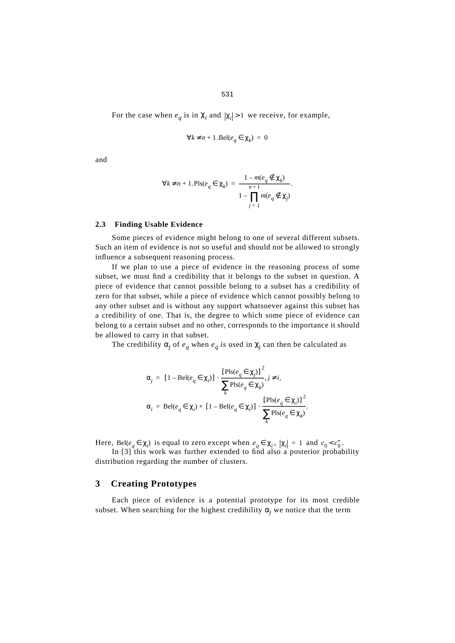For the case when  $e_q$  is in  $\chi_i$  and  $|\chi_i| > 1$  we receive, for example,

$$
\forall k \neq n+1. \text{Bel}(e_q \in \chi_k) = 0
$$

and

$$
\forall k \neq n+1. \text{PIs}(e_q \in \chi_k) = \frac{1 - m(e_q \notin \chi_k)}{1 - \prod_{j=1}^{n+1} m(e_q \notin \chi_j)}.
$$

#### **2.3 Finding Usable Evidence**

Some pieces of evidence might belong to one of several different subsets. Such an item of evidence is not so useful and should not be allowed to strongly influence a subsequent reasoning process.

If we plan to use a piece of evidence in the reasoning process of some subset, we must find a credibility that it belongs to the subset in question. A piece of evidence that cannot possible belong to a subset has a credibility of zero for that subset, while a piece of evidence which cannot possibly belong to any other subset and is without any support whatsoever against this subset has a credibility of one. That is, the degree to which some piece of evidence can belong to a certain subset and no other, corresponds to the importance it should be allowed to carry in that subset.

The credibility  $\alpha_j$  of  $e_q$  when  $e_q$  is used in  $\chi_j$  can then be calculated as

$$
\alpha_j = [1 - \text{Bel}(e_q \in \chi_i)] \cdot \frac{[\text{Pls}(e_q \in \chi_j)]^2}{\sum_k \text{Pls}(e_q \in \chi_k)}, j \neq i,
$$
  

$$
\alpha_i = \text{Bel}(e_q \in \chi_i) + [1 - \text{Bel}(e_q \in \chi_i)] \cdot \frac{[\text{Pls}(e_q \in \chi_i)]^2}{\sum_k \text{Pls}(e_q \in \chi_k)}.
$$

Here, Bel( $e_q \in \chi_i$ ) is equal to zero except when  $e_q \in \chi_i$ ,  $|\chi_i| = 1$  and  $c_0 < c_0^*$ .

In  $[3]$  this work was further extended to find also a posterior probability distribution regarding the number of clusters.

## **3 Creating Prototypes**

Each piece of evidence is a potential prototype for its most credible subset. When searching for the highest credibility  $\alpha_i$  we notice that the term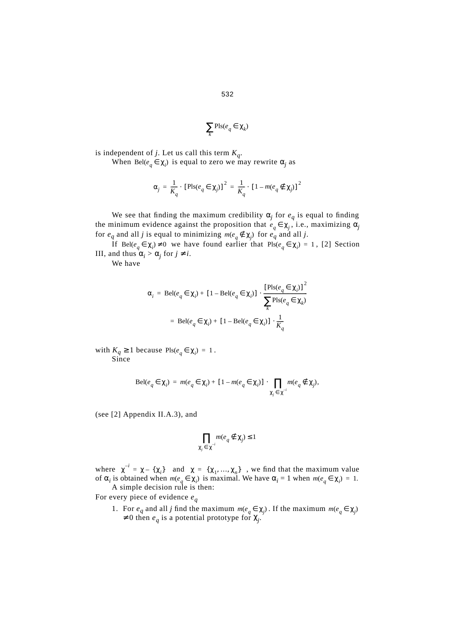$$
\sum_k \text{Pls}(e_q \in \chi_k)
$$

is independent of *j*. Let us call this term  $K_a$ .

When Bel( $e_q \in \chi_i$ ) is equal to zero we may rewrite  $\alpha_j$  as

$$
\alpha_j = \frac{1}{K_q} \cdot \left[ \text{PIs}(e_q \in \chi_j) \right]^2 = \frac{1}{K_q} \cdot \left[ 1 - m(e_q \notin \chi_j) \right]^2
$$

We see that finding the maximum credibility  $\alpha_j$  for  $e_q$  is equal to finding the minimum evidence against the proposition that  $e_q \in \chi_j$ , i.e., maximizing  $\alpha_j$ for  $e_q$  and all *j* is equal to minimizing  $m(e_q \notin \chi_j)$  for  $e_q$  and all *j*.

If Bel( $e_q \in \chi_i$ )  $\neq 0$  we have found earlier that  $\text{Pls}(e_q \in \chi_i) = 1$ , [2] Section III, and thus  $\alpha_i > \alpha_j$  for  $j \neq i$ .

We have

$$
\alpha_i = \text{Bel}(e_q \in \chi_i) + [1 - \text{Bel}(e_q \in \chi_i)] \cdot \frac{[\text{Pls}(e_q \in \chi_i)]^2}{\sum_k \text{Pls}(e_q \in \chi_k)}
$$
  
= 
$$
\text{Bel}(e_q \in \chi_i) + [1 - \text{Bel}(e_q \in \chi_i)] \cdot \frac{1}{K_q}
$$

with  $K_q \ge 1$  because  $\text{Pls}(e_q \in \chi_i) = 1$ . Since

$$
\text{Bel}(e_q \in \chi_i) = m(e_q \in \chi_i) + [1 - m(e_q \in \chi_i)] \cdot \prod_{\chi_j \in \chi^{-i}} m(e_q \notin \chi_j),
$$

(see [2] Appendix II.A.3), and

$$
\prod_{\chi_j \in \chi^{-i}} m(e_q \notin \chi_j) \le 1
$$

where  $\chi^{-1} = \chi - {\chi_i}$  and  $\chi = {\chi_1, ..., \chi_n}$ , we find that the maximum value of  $\alpha_i$  is obtained when  $m(e_q \in \chi_i)$  is maximal. We have  $\alpha_i = 1$  when A simple decision rule is then:  $\chi^{-i} = \chi - {\chi_i}$  and  $\chi = {\chi_1, ..., \chi_n}$ *m*( $e_q \in \chi_i$ ) is maximal. We have  $\alpha_i = 1$  when  $m(e_q \in \chi_i) = 1$ .

For every piece of evidence *eq*

1. For  $e_q$  and all *j* find the maximum  $m(e_q \in \chi_j)$ . If the maximum  $m(e_q \in \chi_j)$  $\neq 0$  then  $e_q$  is a potential prototype for  $\chi_j$ .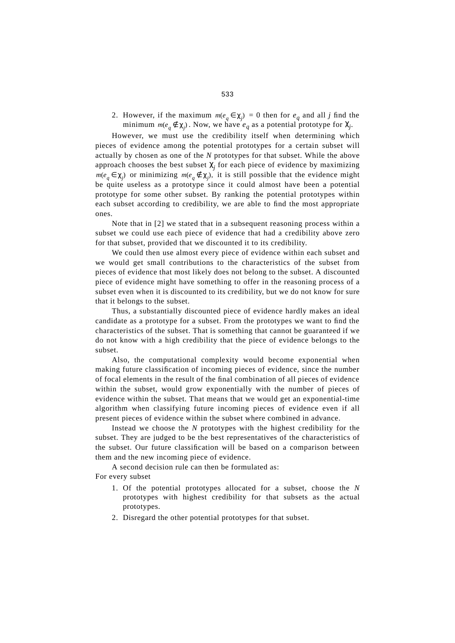2. However, if the maximum  $m(e_q \in \chi_j) = 0$  then for  $e_q$  and all *j* find the minimum  $m(e_q \notin \chi_j)$ . Now, we have  $e_q$  as a potential prototype for  $\chi_j$ .

However, we must use the credibility itself when determining which pieces of evidence among the potential prototypes for a certain subset will actually by chosen as one of the *N* prototypes for that subset. While the above approach chooses the best subset  $\chi$ <sub>i</sub> for each piece of evidence by maximizing  $m(e_q \in \chi_j)$  or minimizing  $m(e_q \notin \chi_j)$ , it is still possible that the evidence might be quite useless as a prototype since it could almost have been a potential prototype for some other subset. By ranking the potential prototypes within each subset according to credibility, we are able to find the most appropriate ones.

Note that in [2] we stated that in a subsequent reasoning process within a subset we could use each piece of evidence that had a credibility above zero for that subset, provided that we discounted it to its credibility.

We could then use almost every piece of evidence within each subset and we would get small contributions to the characteristics of the subset from pieces of evidence that most likely does not belong to the subset. A discounted piece of evidence might have something to offer in the reasoning process of a subset even when it is discounted to its credibility, but we do not know for sure that it belongs to the subset.

Thus, a substantially discounted piece of evidence hardly makes an ideal candidate as a prototype for a subset. From the prototypes we want to find the characteristics of the subset. That is something that cannot be guaranteed if we do not know with a high credibility that the piece of evidence belongs to the subset.

Also, the computational complexity would become exponential when making future classification of incoming pieces of evidence, since the number of focal elements in the result of the final combination of all pieces of evidence within the subset, would grow exponentially with the number of pieces of evidence within the subset. That means that we would get an exponential-time algorithm when classifying future incoming pieces of evidence even if all present pieces of evidence within the subset where combined in advance.

Instead we choose the *N* prototypes with the highest credibility for the subset. They are judged to be the best representatives of the characteristics of the subset. Our future classification will be based on a comparison between them and the new incoming piece of evidence.

A second decision rule can then be formulated as: For every subset

- 1. Of the potential prototypes allocated for a subset, choose the *N* prototypes with highest credibility for that subsets as the actual
	- prototypes.
	- 2. Disregard the other potential prototypes for that subset.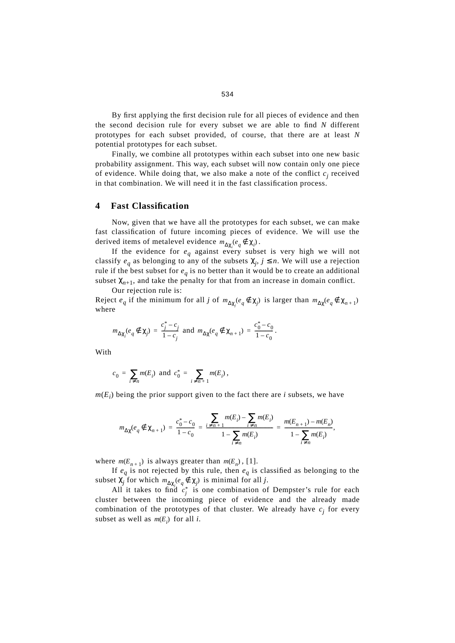By first applying the first decision rule for all pieces of evidence and then the second decision rule for every subset we are able to find *N* different prototypes for each subset provided, of course, that there are at least *N* potential prototypes for each subset.

Finally, we combine all prototypes within each subset into one new basic probability assignment. This way, each subset will now contain only one piece of evidence. While doing that, we also make a note of the conflict  $c_j$  received in that combination. We will need it in the fast classification process.

# **4 Fast Classification**

Now, given that we have all the prototypes for each subset, we can make fast classification of future incoming pieces of evidence. We will use the derived items of metalevel evidence  $m_{\Delta \chi_i}(e_q \notin \chi_i)$ .

If the evidence for  $e_q$  against every subset is very high we will not classify  $e_q$  as belonging to any of the subsets  $\chi_j$ ,  $j \leq n$ . We will use a rejection rule if the best subset for  $e_q$  is no better than it would be to create an additional subset  $\chi_{n+1}$ , and take the penalty for that from an increase in domain conflict.

Our rejection rule is:

Reject  $e_q$  if the minimum for all *j* of  $m_{\Delta \chi}$  ( $e_q \notin \chi_j$ ) is larger than  $m_{\Delta \chi}$  ( $e_q \notin \chi_{n+1}$ ) where

$$
m_{\Delta \chi_j}(e_q \notin \chi_j) = \frac{c_j^* - c_j}{1 - c_j}
$$
 and  $m_{\Delta \chi}(e_q \notin \chi_{n+1}) = \frac{c_0^* - c_0}{1 - c_0}$ .

With

$$
c_0 = \sum_{i \neq n} m(E_i)
$$
 and  $c_0^* = \sum_{i \neq n+1} m(E_i)$ ,

 $m(E_i)$  being the prior support given to the fact there are *i* subsets, we have

$$
m_{\Delta\chi}(e_q \notin \chi_{n+1}) = \frac{c_0^* - c_0}{1 - c_0} = \frac{\sum_{i \neq n+1} m(E_i) - \sum_{i \neq n} m(E_i)}{1 - \sum_{i \neq n} m(E_i)} = \frac{m(E_{n+1}) - m(E_n)}{1 - \sum_{i \neq n} m(E_i)},
$$

where  $m(E_{n+1})$  is always greater than  $m(E_n)$ , [1].

If  $e_q$  is not rejected by this rule, then  $e_q$  is classified as belonging to the subset  $\chi_j$  for which  $m_{\Delta \chi_j}(e_q \notin \chi_j)$  is minimal for all *j*.

All it takes to find  $c_j^*$  is one combination of Dempster's rule for each cluster between the incoming piece of evidence and the already made combination of the prototypes of that cluster. We already have  $c_j$  for every subset as well as  $m(E_i)$  for all *i*.